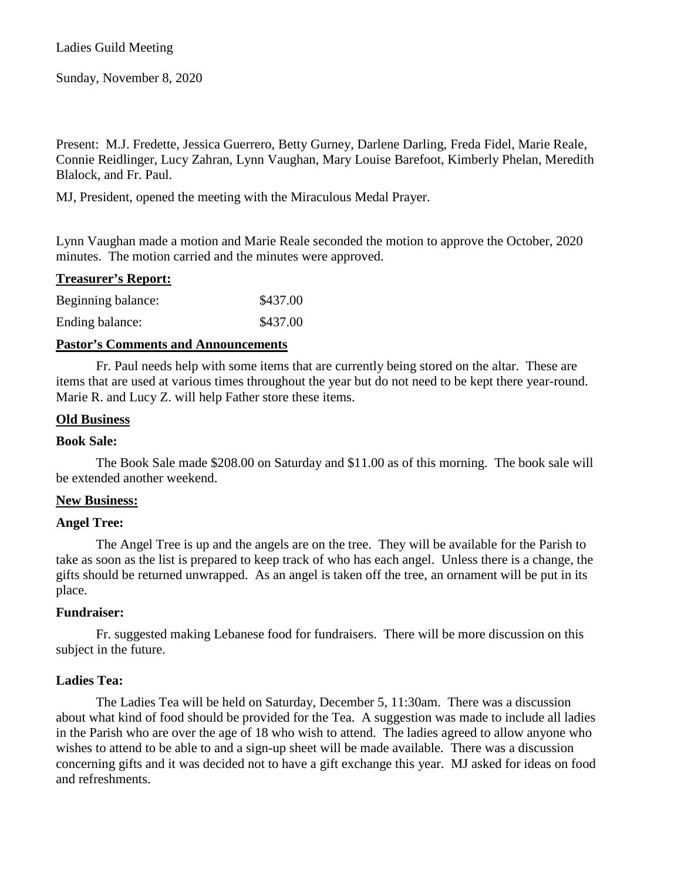Sunday, November 8, 2020

Present: M.J. Fredette, Jessica Guerrero, Betty Gurney, Darlene Darling, Freda Fidel, Marie Reale, Connie Reidlinger, Lucy Zahran, Lynn Vaughan, Mary Louise Barefoot, Kimberly Phelan, Meredith Blalock, and Fr. Paul.

MJ, President, opened the meeting with the Miraculous Medal Prayer.

Lynn Vaughan made a motion and Marie Reale seconded the motion to approve the October, 2020 minutes. The motion carried and the minutes were approved.

| <b>Treasurer's Report:</b> |          |
|----------------------------|----------|
| Beginning balance:         | \$437.00 |
| Ending balance:            | \$437.00 |

# **Pastor's Comments and Announcements**

Fr. Paul needs help with some items that are currently being stored on the altar. These are items that are used at various times throughout the year but do not need to be kept there year-round. Marie R. and Lucy Z. will help Father store these items.

## **Old Business**

## **Book Sale:**

The Book Sale made \$208.00 on Saturday and \$11.00 as of this morning. The book sale will be extended another weekend.

## **New Business:**

## **Angel Tree:**

The Angel Tree is up and the angels are on the tree. They will be available for the Parish to take as soon as the list is prepared to keep track of who has each angel. Unless there is a change, the gifts should be returned unwrapped. As an angel is taken off the tree, an ornament will be put in its place.

## **Fundraiser:**

Fr. suggested making Lebanese food for fundraisers. There will be more discussion on this subject in the future.

# **Ladies Tea:**

The Ladies Tea will be held on Saturday, December 5, 11:30am. There was a discussion about what kind of food should be provided for the Tea. A suggestion was made to include all ladies in the Parish who are over the age of 18 who wish to attend. The ladies agreed to allow anyone who wishes to attend to be able to and a sign-up sheet will be made available. There was a discussion concerning gifts and it was decided not to have a gift exchange this year. MJ asked for ideas on food and refreshments.